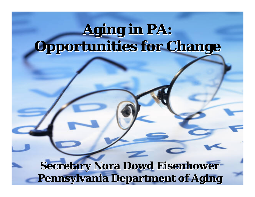# **Aging in PA: Opportunities for Change Opportunities for Change**

**Secretary Nora Dowd Eisenhower Pennsylvania Department of Aging Pennsylvania Department of Aging**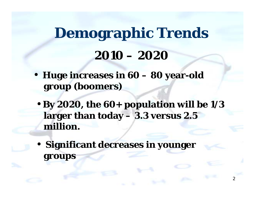# **Demographic Trends 2010 – 2020**

- **Huge increases in 60 – 80 year-old group (boomers)**
- **By 2020, the 60+ population will be 1/3 larger than today – 3.3 versus 2.5 million.**

2

• **Significant decreases in younger groups**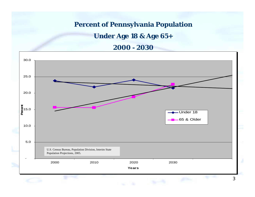#### **Percent of Pennsylvania Population**

#### **Under Age 18 & Age 65+**

#### **2000 - 2030**

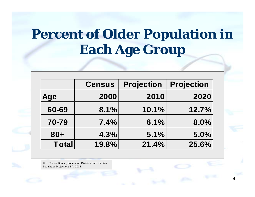### **Percent of Older Population in Each Age Group**

|              | <b>Census</b> | <b>Projection</b> | <b>Projection</b> |
|--------------|---------------|-------------------|-------------------|
| <b>Age</b>   | 2000          | 2010              | 2020              |
| 60-69        | 8.1%          | 10.1%             | 12.7%             |
| 70-79        | 7.4%          | 6.1%              | 8.0%              |
| $80 +$       | 4.3%          | 5.1%              | 5.0%              |
| <b>Total</b> | 19.8%         | 21.4%             | 25.6%             |

4

U.S. Census Bureau, Population Division, Interim State Population Projections PA, 2005.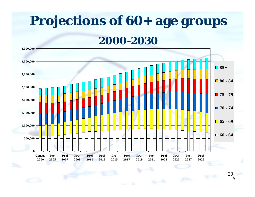# **Projections of 60+ age groups**

**2000-2030**

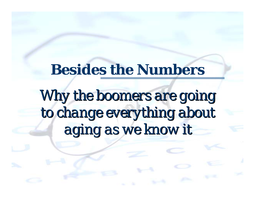### **Besides the Numbers**

# Why the boomers are going to change everything about *aging as we know it aging as we know it*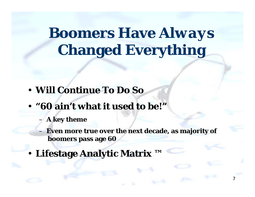# **Boomers Have** *Always* **Changed Everything**

- **Will Continue To Do So**
- **"60 ain't what it used to be!"**
	- **A key theme**
	- **Even more true over the next decade, as majority of boomers pass age 60**

7

• **Lifestage Analytic Matrix ™**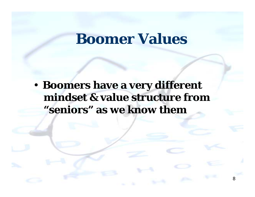### **Boomer Values**

• **Boomers have a very different mindset & value structure from "seniors" as we know them**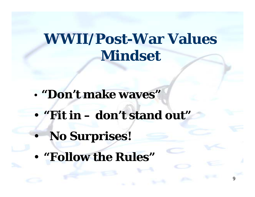## **WWII/Post-War Values Mindset**

9

- **"Don't make waves"**
- **"Fit in – don't stand out"**
	- **No Surprises!**

 $\bullet$ 

• **"Follow the Rules"**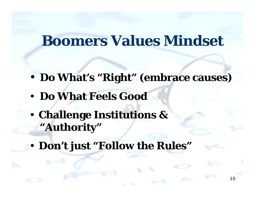#### **Boomers Values Mindset**

• **Do What's "Right" (embrace causes)**

- **Do What Feels Good**
- • **Challenge Institutions & "Authority"**
- •**Don't just "Follow the Rules"**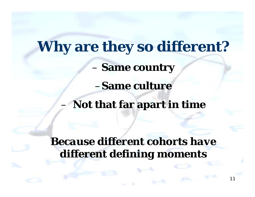**Why are they so different?** – **Same country** –**Same cultureNot that far apart in time**

*Because different cohorts have different defining moments*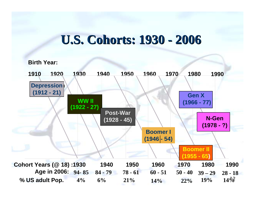#### **U.S. Cohorts: 1930 - 2006**

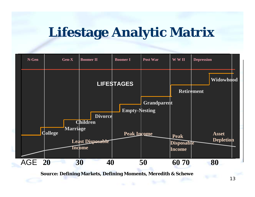### **Lifestage Analytic Matrix**



**Source: Defining Markets, Defining Moments, Meredith & Schewe**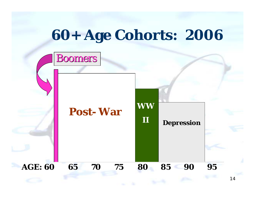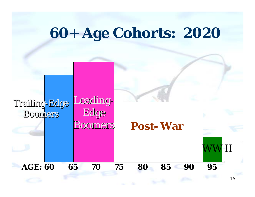### **60+ Age Cohorts: 2020**

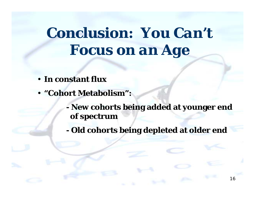# **Conclusion:** *You Can't Focus on an Age*

- **In constant flux**
- **"Cohort Metabolism":**
	- **New cohorts being added at younger end of spectrum**
		- **Old cohorts being depleted at older end**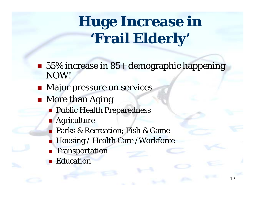# **Huge Increase in 'Frail Elderly'**

- 55% increase in 85+ demographic happening NOW!
- **Najor pressure on services**
- **Nore than Aging** 
	- **Public Health Preparedness**
	- **Agriculture**
	- **Parks & Recreation; Fish & Game**
	- Housing / Health Care /Workforce
	- **Transportation**
	- **Education**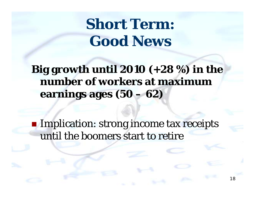## **Short Term: Good News**

**Big growth until 2010 (+28 %) in the number of workers at maximum earnings ages (50 – 62)**

**Implication: strong income tax receipts** until the boomers start to retire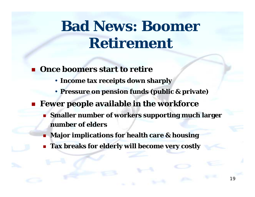# **Bad News: Boomer Retirement**

- **Once boomers start to retire**
	- **Income tax receipts down sharply**
	- **Pressure on pension funds (public & private)**

#### **Fewer people available in the workforce**

 **Smaller number of workers supporting much larger number of elders**

- **Major implications for health care & housing**
- **Tax breaks for elderly will become very costly**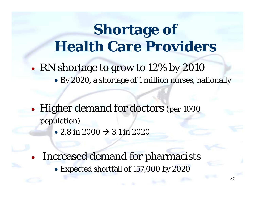## **Shortage of Health Care Providers**

- •• RN shortage to grow to 12% by 2010
	- By 2020, a shortage of 1 <u>million nurses, nationally</u>
- $\bullet$ • Higher demand for doctors (per 1000 population)
	- 2.8 in 2000  $\rightarrow$  3.1 in 2020
	- • Increased demand for pharmacists
		- Expected shortfall of 157,000 by 2020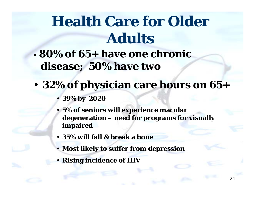# **Health Care for Older Adults**

- **80% of 65+ have one chronic disease; 50% have two**
- • **32% of physician care hours on 65+**
	- **39% by 2020**
	- • **5% of seniors will experience macular degeneration – need for programs for visually impaired**

- **35% will fall & break a bone**
- •**Most likely to suffer from depression**
- **Rising incidence of HIV**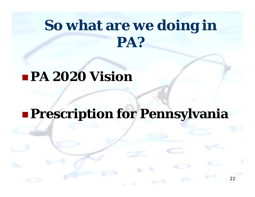## **So what are we doing in PA?**

#### **PA 2020 Vision**

#### **Prescription for Pennsylvania**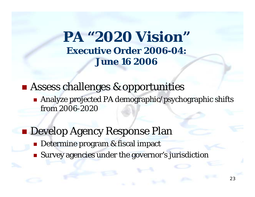**PA "2020 Vision" Executive Order 2006-04: June 16 2006**

**Example 18 Assess challenges & opportunities** 

■ Analyze projected PA demographic/psychographic shifts from 2006-2020

**Develop Agency Response Plan** 

- Determine program & fiscal impact
- **Survey agencies under the governor's jurisdiction**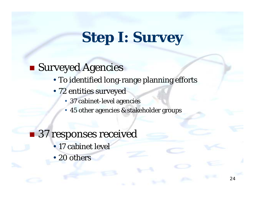## **Step I: Survey**

#### **Surveyed Agencies**

- To identified long-range planning efforts
- 72 entities surveyed
	- 37 cabinet-level agencies
	- •45 other agencies & stakeholder groups

 $24$ 

#### ■ 37 responses received

- 17 cabinet level
- 20 others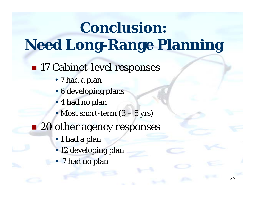# **Conclusion: Need Long-Range Planning**

#### ■ 17 Cabinet-level responses

- 7 had a plan
- 6 developing plans
- 4 had no plan
- Most short-term (3 5 yrs)
- 20 other agency responses
	- 1 had a plan
	- 12 developing plan
	- 7 had no plan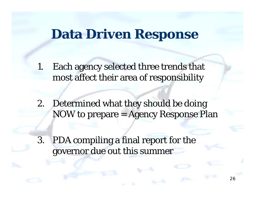#### **Data Driven Response**

1. Each agency selected three trends that most affect their area of responsibility

- 2. Determined what they should be doing NOW to prepare = Agency Response Plan
- 3. PDA compiling a final report for the governor due out this summer

26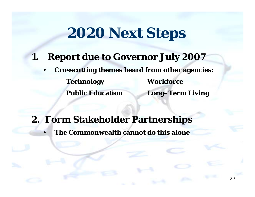### **2020 Next Steps**

#### **1. Report due to Governor July 2007**

• **Crosscutting themes heard from other agencies: Technology Workforce Public Education Long–Term Living**

27

**2. Form Stakeholder Partnerships**

•**The Commonwealth cannot do this alone**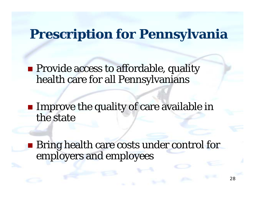#### **Prescription for Pennsylvania**

**Provide access to affordable, quality** health care for all Pennsylvanians

**Improve the quality of care available in** the state

**Bring health care costs under control for** employers and employees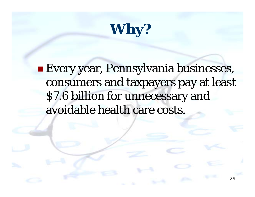# **Why?**

**E**very year, Pennsylvania businesses, consumers and taxpayers pay at least \$7.6 billion for unnecessary and avoidable health care costs.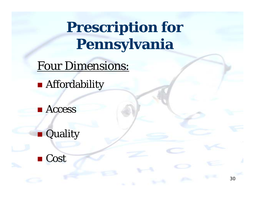# **Prescription for Pennsylvania**

30

Four Dimensions:

**Affordability** 

**E** Access

**Quality** 

■ Cost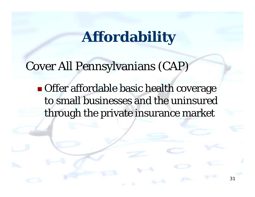### **Affordability**

Cover All Pennsylvanians (CAP)

**Offer affordable basic health coverage** to small businesses and the uninsured through the private insurance market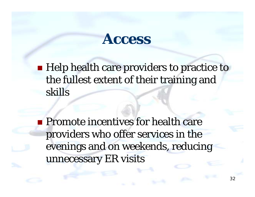#### **Access**

**Help health care providers to practice to** the fullest extent of their training and skills

**Promote incentives for health care** providers who offer services in the evenings and on weekends, reducing unnecessary ER visits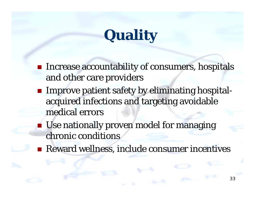# **Quality**

- **Increase accountability of consumers, hospitals** and other care providers
- **Improve patient safety by eliminating hospital**acquired infections and targeting avoidable medical errors
- **Use nationally proven model for managing** chronic conditions
- **Reward wellness, include consumer incentives**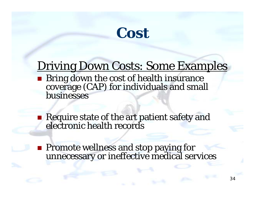## **Cost**

#### Driving Down Costs: Some Examples

- Bring down the cost of health insurance<br>coverage (CAP) for individuals and small<br>businesses
- Require state of the art patient safety and<br>electronic health records
- **Promote wellness and stop paying for<br>unnecessary or ineffective medical services**